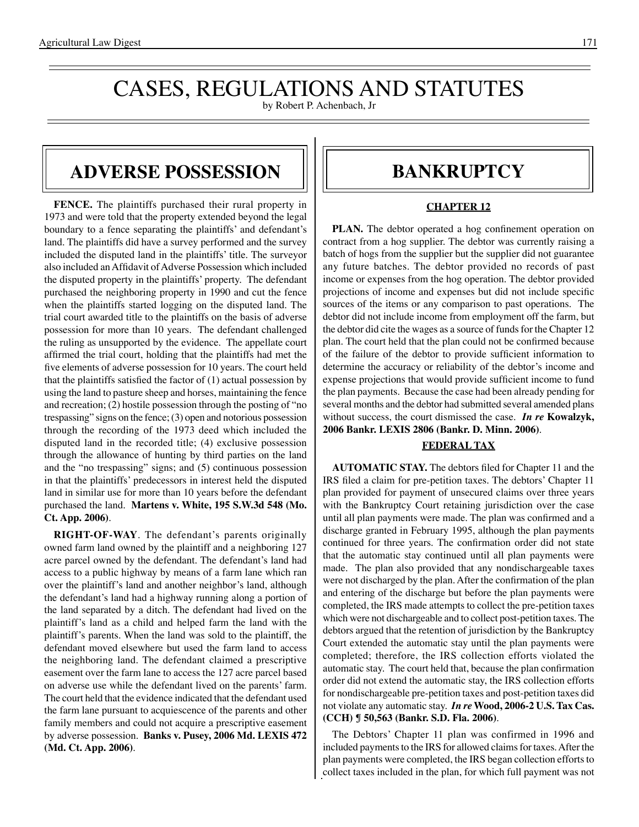## CASES, REGULATIONS AND STATUTES

by Robert P. Achenbach, Jr

#### **Adverse possession**

**FENCE.** The plaintiffs purchased their rural property in 1973 and were told that the property extended beyond the legal boundary to a fence separating the plaintiffs' and defendant's land. The plaintiffs did have a survey performed and the survey included the disputed land in the plaintiffs' title. The surveyor also included an Affidavit of Adverse Possession which included the disputed property in the plaintiffs' property. The defendant purchased the neighboring property in 1990 and cut the fence when the plaintiffs started logging on the disputed land. The trial court awarded title to the plaintiffs on the basis of adverse possession for more than 10 years. The defendant challenged the ruling as unsupported by the evidence. The appellate court affirmed the trial court, holding that the plaintiffs had met the five elements of adverse possession for 10 years. The court held that the plaintiffs satisfied the factor of (1) actual possession by using the land to pasture sheep and horses, maintaining the fence and recreation; (2) hostile possession through the posting of "no trespassing" signs on the fence; (3) open and notorious possession through the recording of the 1973 deed which included the disputed land in the recorded title; (4) exclusive possession through the allowance of hunting by third parties on the land and the "no trespassing" signs; and (5) continuous possession in that the plaintiffs' predecessors in interest held the disputed land in similar use for more than 10 years before the defendant purchased the land. **Martens v. White, 195 S.W.3d 548 (Mo. Ct. App. 2006)**.

**RIGHT-OF-WAY**. The defendant's parents originally owned farm land owned by the plaintiff and a neighboring 127 acre parcel owned by the defendant. The defendant's land had access to a public highway by means of a farm lane which ran over the plaintiff's land and another neighbor's land, although the defendant's land had a highway running along a portion of the land separated by a ditch. The defendant had lived on the plaintiff's land as a child and helped farm the land with the plaintiff's parents. When the land was sold to the plaintiff, the defendant moved elsewhere but used the farm land to access the neighboring land. The defendant claimed a prescriptive easement over the farm lane to access the 127 acre parcel based on adverse use while the defendant lived on the parents' farm. The court held that the evidence indicated that the defendant used the farm lane pursuant to acquiescence of the parents and other family members and could not acquire a prescriptive easement by adverse possession. **Banks v. Pusey, 2006 Md. LEXIS 472 (Md. Ct. App. 2006)**.

#### **BANKRUPTCY**

#### **CHAPTER 12**

**PLAN.** The debtor operated a hog confinement operation on contract from a hog supplier. The debtor was currently raising a batch of hogs from the supplier but the supplier did not guarantee any future batches. The debtor provided no records of past income or expenses from the hog operation. The debtor provided projections of income and expenses but did not include specific sources of the items or any comparison to past operations. The debtor did not include income from employment off the farm, but the debtor did cite the wages as a source of funds for the Chapter 12 plan. The court held that the plan could not be confirmed because of the failure of the debtor to provide sufficient information to determine the accuracy or reliability of the debtor's income and expense projections that would provide sufficient income to fund the plan payments. Because the case had been already pending for several months and the debtor had submitted several amended plans without success, the court dismissed the case. *In re* **Kowalzyk, 2006 Bankr. LEXIS 2806 (Bankr. D. Minn. 2006)**.

#### **FEDERAL TAX**

**AUTOMATIC STAY.** The debtors filed for Chapter 11 and the IRS filed a claim for pre-petition taxes. The debtors' Chapter 11 plan provided for payment of unsecured claims over three years with the Bankruptcy Court retaining jurisdiction over the case until all plan payments were made. The plan was confirmed and a discharge granted in February 1995, although the plan payments continued for three years. The confirmation order did not state that the automatic stay continued until all plan payments were made. The plan also provided that any nondischargeable taxes were not discharged by the plan.After the confirmation of the plan and entering of the discharge but before the plan payments were completed, the IRS made attempts to collect the pre-petition taxes which were not dischargeable and to collect post-petition taxes. The debtors argued that the retention of jurisdiction by the Bankruptcy Court extended the automatic stay until the plan payments were completed; therefore, the IRS collection efforts violated the automatic stay. The court held that, because the plan confirmation order did not extend the automatic stay, the IRS collection efforts for nondischargeable pre-petition taxes and post-petition taxes did not violate any automatic stay. *In re* **Wood, 2006-2 U.S. Tax Cas. (CCH) ¶ 50,563 (Bankr. S.D. Fla. 2006)**.

The Debtors' Chapter 11 plan was confirmed in 1996 and included payments to the IRS for allowed claims for taxes. After the plan payments were completed, the IRS began collection efforts to collect taxes included in the plan, for which full payment was not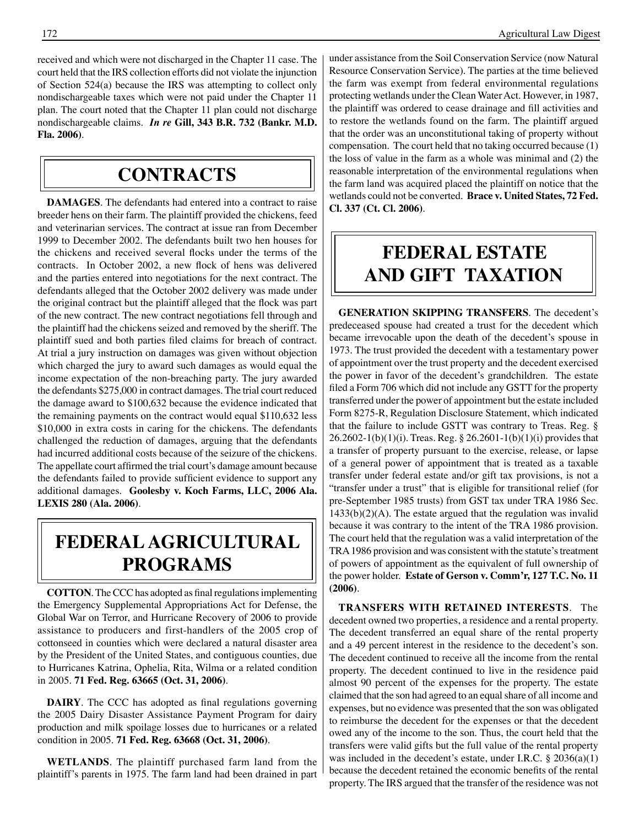received and which were not discharged in the Chapter 11 case. The court held that the IRS collection efforts did not violate the injunction of Section 524(a) because the IRS was attempting to collect only nondischargeable taxes which were not paid under the Chapter 11 plan. The court noted that the Chapter 11 plan could not discharge nondischargeable claims. *In re* **Gill, 343 B.R. 732 (Bankr. M.D. Fla. 2006)**.

#### **contracts**

**DAMAGES**. The defendants had entered into a contract to raise breeder hens on their farm. The plaintiff provided the chickens, feed and veterinarian services. The contract at issue ran from December 1999 to December 2002. The defendants built two hen houses for the chickens and received several flocks under the terms of the contracts. In October 2002, a new flock of hens was delivered and the parties entered into negotiations for the next contract. The defendants alleged that the October 2002 delivery was made under the original contract but the plaintiff alleged that the flock was part of the new contract. The new contract negotiations fell through and the plaintiff had the chickens seized and removed by the sheriff. The plaintiff sued and both parties filed claims for breach of contract. At trial a jury instruction on damages was given without objection which charged the jury to award such damages as would equal the income expectation of the non-breaching party. The jury awarded the defendants \$275,000 in contract damages. The trial court reduced the damage award to \$100,632 because the evidence indicated that the remaining payments on the contract would equal \$110,632 less \$10,000 in extra costs in caring for the chickens. The defendants challenged the reduction of damages, arguing that the defendants had incurred additional costs because of the seizure of the chickens. The appellate court affirmed the trial court's damage amount because the defendants failed to provide sufficient evidence to support any additional damages. **Goolesby v. Koch Farms, LLC, 2006 Ala. LEXIS 280 (Ala. 2006)**.

### **federalagricultural programs**

**COTTON**. The CCC has adopted as final regulations implementing the Emergency Supplemental Appropriations Act for Defense, the Global War on Terror, and Hurricane Recovery of 2006 to provide assistance to producers and first-handlers of the 2005 crop of cottonseed in counties which were declared a natural disaster area by the President of the United States, and contiguous counties, due to Hurricanes Katrina, Ophelia, Rita, Wilma or a related condition in 2005. **71 Fed. Reg. 63665 (Oct. 31, 2006)**.

**DAIRY**. The CCC has adopted as final regulations governing the 2005 Dairy Disaster Assistance Payment Program for dairy production and milk spoilage losses due to hurricanes or a related condition in 2005. **71 Fed. Reg. 63668 (Oct. 31, 2006)**.

**WETLANDS**. The plaintiff purchased farm land from the plaintiff's parents in 1975. The farm land had been drained in part

under assistance from the Soil Conservation Service (now Natural Resource Conservation Service). The parties at the time believed the farm was exempt from federal environmental regulations protecting wetlands under the Clean Water Act. However, in 1987, the plaintiff was ordered to cease drainage and fill activities and to restore the wetlands found on the farm. The plaintiff argued that the order was an unconstitutional taking of property without compensation. The court held that no taking occurred because (1) the loss of value in the farm as a whole was minimal and (2) the reasonable interpretation of the environmental regulations when the farm land was acquired placed the plaintiff on notice that the wetlands could not be converted. **Brace v. United States, 72 Fed. Cl. 337 (Ct. Cl. 2006)**.

### **federal Estate and gift taxation**

**GENERATION SKIPPING TRANSFERS**. The decedent's predeceased spouse had created a trust for the decedent which became irrevocable upon the death of the decedent's spouse in 1973. The trust provided the decedent with a testamentary power of appointment over the trust property and the decedent exercised the power in favor of the decedent's grandchildren. The estate filed a Form 706 which did not include any GSTT for the property transferred under the power of appointment but the estate included Form 8275-R, Regulation Disclosure Statement, which indicated that the failure to include GSTT was contrary to Treas. Reg. § 26.2602-1(b)(1)(i). Treas. Reg. § 26.2601-1(b)(1)(i) provides that a transfer of property pursuant to the exercise, release, or lapse of a general power of appointment that is treated as a taxable transfer under federal estate and/or gift tax provisions, is not a "transfer under a trust" that is eligible for transitional relief (for pre-September 1985 trusts) from GST tax under TRA 1986 Sec. 1433(b)(2)(A). The estate argued that the regulation was invalid because it was contrary to the intent of the TRA 1986 provision. The court held that the regulation was a valid interpretation of the TRA 1986 provision and was consistent with the statute's treatment of powers of appointment as the equivalent of full ownership of the power holder. **Estate of Gerson v. Comm'r, 127 T.C. No. 11 (2006)**.

**TRANSFERS WITH RETAINED INTERESTS**. The decedent owned two properties, a residence and a rental property. The decedent transferred an equal share of the rental property and a 49 percent interest in the residence to the decedent's son. The decedent continued to receive all the income from the rental property. The decedent continued to live in the residence paid almost 90 percent of the expenses for the property. The estate claimed that the son had agreed to an equal share of all income and expenses, but no evidence was presented that the son was obligated to reimburse the decedent for the expenses or that the decedent owed any of the income to the son. Thus, the court held that the transfers were valid gifts but the full value of the rental property was included in the decedent's estate, under I.R.C. § 2036(a)(1) because the decedent retained the economic benefits of the rental property. The IRS argued that the transfer of the residence was not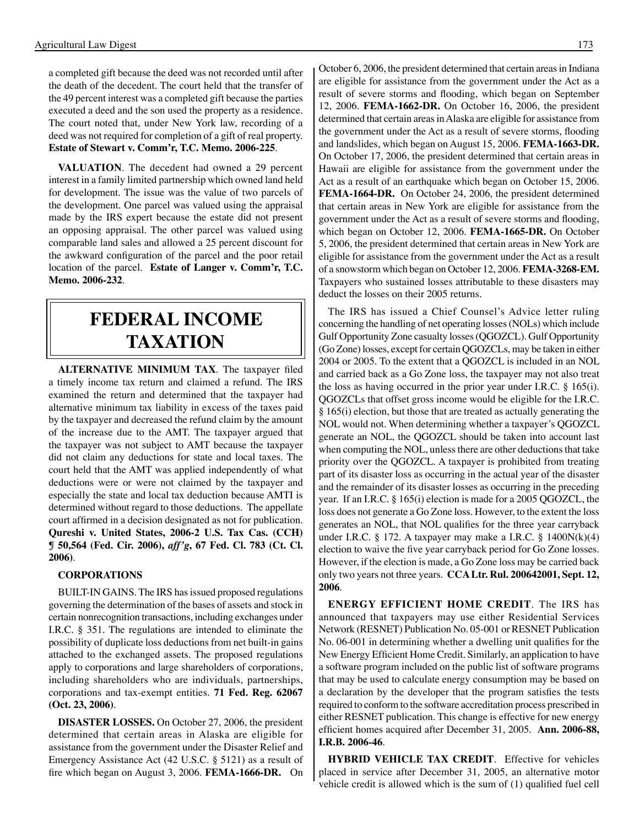a completed gift because the deed was not recorded until after the death of the decedent. The court held that the transfer of the 49 percent interest was a completed gift because the parties executed a deed and the son used the property as a residence. The court noted that, under New York law, recording of a deed was not required for completion of a gift of real property. **Estate of Stewart v. Comm'r, T.C. Memo. 2006-225**.

**VALUATION**. The decedent had owned a 29 percent interest in a family limited partnership which owned land held for development. The issue was the value of two parcels of the development. One parcel was valued using the appraisal made by the IRS expert because the estate did not present an opposing appraisal. The other parcel was valued using comparable land sales and allowed a 25 percent discount for the awkward configuration of the parcel and the poor retail location of the parcel. **Estate of Langer v. Comm'r, T.C. Memo. 2006-232**.

#### **federal income taxation**

**ALTERNATIVE MINIMUM TAX**. The taxpayer filed a timely income tax return and claimed a refund. The IRS examined the return and determined that the taxpayer had alternative minimum tax liability in excess of the taxes paid by the taxpayer and decreased the refund claim by the amount of the increase due to the AMT. The taxpayer argued that the taxpayer was not subject to AMT because the taxpayer did not claim any deductions for state and local taxes. The court held that the AMT was applied independently of what deductions were or were not claimed by the taxpayer and especially the state and local tax deduction because AMTI is determined without regard to those deductions. The appellate court affirmed in a decision designated as not for publication. **Qureshi v. United States, 2006-2 U.S. Tax Cas. (CCH) ¶ 50,564 (Fed. Cir. 2006),** *aff'g***, 67 Fed. Cl. 783 (Ct. Cl. 2006)**.

#### **CORPORATIONS**

BUILT-IN GAINS. The IRS has issued proposed regulations governing the determination of the bases of assets and stock in certain nonrecognition transactions, including exchanges under I.R.C. § 351. The regulations are intended to eliminate the possibility of duplicate loss deductions from net built-in gains attached to the exchanged assets. The proposed regulations apply to corporations and large shareholders of corporations, including shareholders who are individuals, partnerships, corporations and tax-exempt entities. **71 Fed. Reg. 62067 (Oct. 23, 2006)**.

**DISASTER LOSSES.** On October 27, 2006, the president determined that certain areas in Alaska are eligible for assistance from the government under the Disaster Relief and Emergency Assistance Act (42 U.S.C. § 5121) as a result of fire which began on August 3, 2006. **FEMA-1666-DR.** On October 6, 2006, the president determined that certain areas in Indiana are eligible for assistance from the government under the Act as a result of severe storms and flooding, which began on September 12, 2006. **FEMA-1662-DR.** On October 16, 2006, the president determined that certain areas in Alaska are eligible for assistance from the government under the Act as a result of severe storms, flooding and landslides, which began on August 15, 2006. **FEMA-1663-DR.**  On October 17, 2006, the president determined that certain areas in Hawaii are eligible for assistance from the government under the Act as a result of an earthquake which began on October 15, 2006. **FEMA-1664-DR.** On October 24, 2006, the president determined that certain areas in New York are eligible for assistance from the government under the Act as a result of severe storms and flooding, which began on October 12, 2006. **FEMA-1665-DR.** On October 5, 2006, the president determined that certain areas in New York are eligible for assistance from the government under the Act as a result of a snowstorm which began on October 12, 2006. **FEMA-3268-EM.**  Taxpayers who sustained losses attributable to these disasters may deduct the losses on their 2005 returns.

The IRS has issued a Chief Counsel's Advice letter ruling concerning the handling of net operating losses (NOLs) which include Gulf Opportunity Zone casualty losses (QGOZCL). Gulf Opportunity (Go Zone) losses, except for certain QGOZCLs, may be taken in either 2004 or 2005. To the extent that a QGOZCL is included in an NOL and carried back as a Go Zone loss, the taxpayer may not also treat the loss as having occurred in the prior year under I.R.C. § 165(i). QGOZCLs that offset gross income would be eligible for the I.R.C. § 165(i) election, but those that are treated as actually generating the NOL would not. When determining whether a taxpayer's QGOZCL generate an NOL, the QGOZCL should be taken into account last when computing the NOL, unless there are other deductions that take priority over the QGOZCL. A taxpayer is prohibited from treating part of its disaster loss as occurring in the actual year of the disaster and the remainder of its disaster losses as occurring in the preceding year. If an I.R.C. § 165(i) election is made for a 2005 QGOZCL, the loss does not generate a Go Zone loss. However, to the extent the loss generates an NOL, that NOL qualifies for the three year carryback under I.R.C.  $\S 172$ . A taxpayer may make a I.R.C.  $\S 1400N(k)(4)$ election to waive the five year carryback period for Go Zone losses. However, if the election is made, a Go Zone loss may be carried back only two years not three years. **CCA Ltr. Rul. 200642001, Sept. 12, 2006**.

**ENERGY EFFICIENT HOME CREDIT**. The IRS has announced that taxpayers may use either Residential Services Network (RESNET) Publication No. 05-001 or RESNET Publication No. 06-001 in determining whether a dwelling unit qualifies for the New Energy Efficient Home Credit. Similarly, an application to have a software program included on the public list of software programs that may be used to calculate energy consumption may be based on a declaration by the developer that the program satisfies the tests required to conform to the software accreditation process prescribed in either RESNET publication. This change is effective for new energy efficient homes acquired after December 31, 2005. **Ann. 2006-88, I.R.B. 2006-46**.

**HYBRID VEHICLE TAX CREDIT**. Effective for vehicles placed in service after December 31, 2005, an alternative motor vehicle credit is allowed which is the sum of (1) qualified fuel cell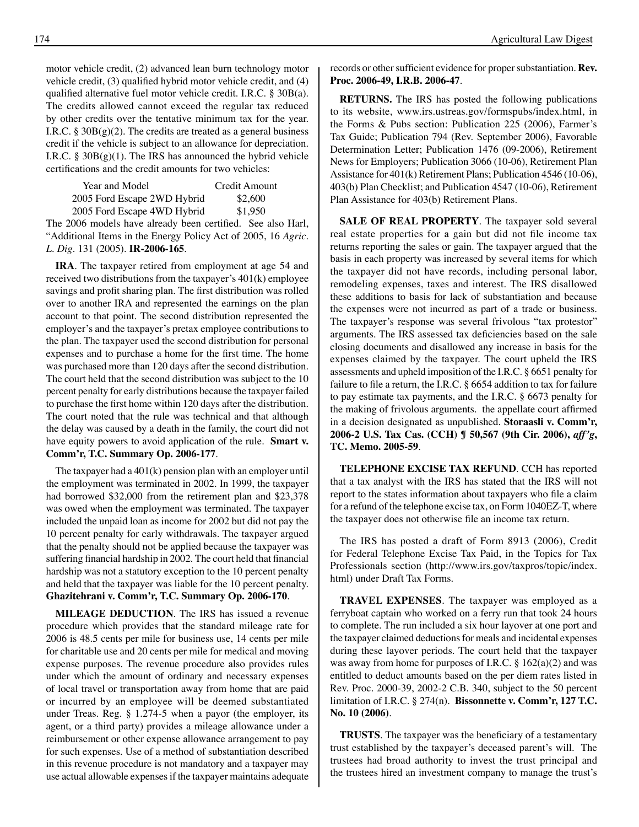motor vehicle credit, (2) advanced lean burn technology motor vehicle credit, (3) qualified hybrid motor vehicle credit, and (4) qualified alternative fuel motor vehicle credit. I.R.C. § 30B(a). The credits allowed cannot exceed the regular tax reduced by other credits over the tentative minimum tax for the year. I.R.C.  $\S 30B(g)(2)$ . The credits are treated as a general business credit if the vehicle is subject to an allowance for depreciation. I.R.C. §  $30B(g)(1)$ . The IRS has announced the hybrid vehicle certifications and the credit amounts for two vehicles:

| Year and Model              | Credit Amount |
|-----------------------------|---------------|
| 2005 Ford Escape 2WD Hybrid | \$2,600       |
| 2005 Ford Escape 4WD Hybrid | \$1,950       |

The 2006 models have already been certified. See also Harl, "Additional Items in the Energy Policy Act of 2005, 16 *Agric. L. Dig*. 131 (2005). **IR-2006-165**.

**IRA**. The taxpayer retired from employment at age 54 and received two distributions from the taxpayer's 401(k) employee savings and profit sharing plan. The first distribution was rolled over to another IRA and represented the earnings on the plan account to that point. The second distribution represented the employer's and the taxpayer's pretax employee contributions to the plan. The taxpayer used the second distribution for personal expenses and to purchase a home for the first time. The home was purchased more than 120 days after the second distribution. The court held that the second distribution was subject to the 10 percent penalty for early distributions because the taxpayer failed to purchase the first home within 120 days after the distribution. The court noted that the rule was technical and that although the delay was caused by a death in the family, the court did not have equity powers to avoid application of the rule. **Smart v. Comm'r, T.C. Summary Op. 2006-177**.

The taxpayer had a 401(k) pension plan with an employer until the employment was terminated in 2002. In 1999, the taxpayer had borrowed \$32,000 from the retirement plan and \$23,378 was owed when the employment was terminated. The taxpayer included the unpaid loan as income for 2002 but did not pay the 10 percent penalty for early withdrawals. The taxpayer argued that the penalty should not be applied because the taxpayer was suffering financial hardship in 2002. The court held that financial hardship was not a statutory exception to the 10 percent penalty and held that the taxpayer was liable for the 10 percent penalty. **Ghazitehrani v. Comm'r, T.C. Summary Op. 2006-170**.

**MILEAGE DEDUCTION**. The IRS has issued a revenue procedure which provides that the standard mileage rate for 2006 is 48.5 cents per mile for business use, 14 cents per mile for charitable use and 20 cents per mile for medical and moving expense purposes. The revenue procedure also provides rules under which the amount of ordinary and necessary expenses of local travel or transportation away from home that are paid or incurred by an employee will be deemed substantiated under Treas. Reg. § 1.274-5 when a payor (the employer, its agent, or a third party) provides a mileage allowance under a reimbursement or other expense allowance arrangement to pay for such expenses. Use of a method of substantiation described in this revenue procedure is not mandatory and a taxpayer may use actual allowable expenses if the taxpayer maintains adequate

records or other sufficient evidence for proper substantiation. **Rev. Proc. 2006-49, I.R.B. 2006-47**.

**RETURNS.** The IRS has posted the following publications to its website, www.irs.ustreas.gov/formspubs/index.html, in the Forms & Pubs section: Publication 225 (2006), Farmer's Tax Guide; Publication 794 (Rev. September 2006), Favorable Determination Letter; Publication 1476 (09-2006), Retirement News for Employers; Publication 3066 (10-06), Retirement Plan Assistance for 401(k) Retirement Plans; Publication 4546 (10-06), 403(b) Plan Checklist; and Publication 4547 (10-06), Retirement Plan Assistance for 403(b) Retirement Plans.

**SALE OF REAL PROPERTY**. The taxpayer sold several real estate properties for a gain but did not file income tax returns reporting the sales or gain. The taxpayer argued that the basis in each property was increased by several items for which the taxpayer did not have records, including personal labor, remodeling expenses, taxes and interest. The IRS disallowed these additions to basis for lack of substantiation and because the expenses were not incurred as part of a trade or business. The taxpayer's response was several frivolous "tax protestor" arguments. The IRS assessed tax deficiencies based on the sale closing documents and disallowed any increase in basis for the expenses claimed by the taxpayer. The court upheld the IRS assessments and upheld imposition of the I.R.C. § 6651 penalty for failure to file a return, the I.R.C. § 6654 addition to tax for failure to pay estimate tax payments, and the I.R.C. § 6673 penalty for the making of frivolous arguments. the appellate court affirmed in a decision designated as unpublished. **Storaasli v. Comm'r, 2006-2 U.S. Tax Cas. (CCH) ¶ 50,567 (9th Cir. 2006),** *aff'g***, TC. Memo. 2005-59**.

**TELEPHONE EXCISE TAX REFUND**. CCH has reported that a tax analyst with the IRS has stated that the IRS will not report to the states information about taxpayers who file a claim for a refund of the telephone excise tax, on Form 1040EZ-T, where the taxpayer does not otherwise file an income tax return.

The IRS has posted a draft of Form 8913 (2006), Credit for Federal Telephone Excise Tax Paid, in the Topics for Tax Professionals section (http://www.irs.gov/taxpros/topic/index. html) under Draft Tax Forms.

**TRAVEL EXPENSES**. The taxpayer was employed as a ferryboat captain who worked on a ferry run that took 24 hours to complete. The run included a six hour layover at one port and the taxpayer claimed deductions for meals and incidental expenses during these layover periods. The court held that the taxpayer was away from home for purposes of I.R.C.  $\S 162(a)(2)$  and was entitled to deduct amounts based on the per diem rates listed in Rev. Proc. 2000-39, 2002-2 C.B. 340, subject to the 50 percent limitation of I.R.C. § 274(n). **Bissonnette v. Comm'r, 127 T.C. No. 10 (2006)**.

**TRUSTS**. The taxpayer was the beneficiary of a testamentary trust established by the taxpayer's deceased parent's will. The trustees had broad authority to invest the trust principal and the trustees hired an investment company to manage the trust's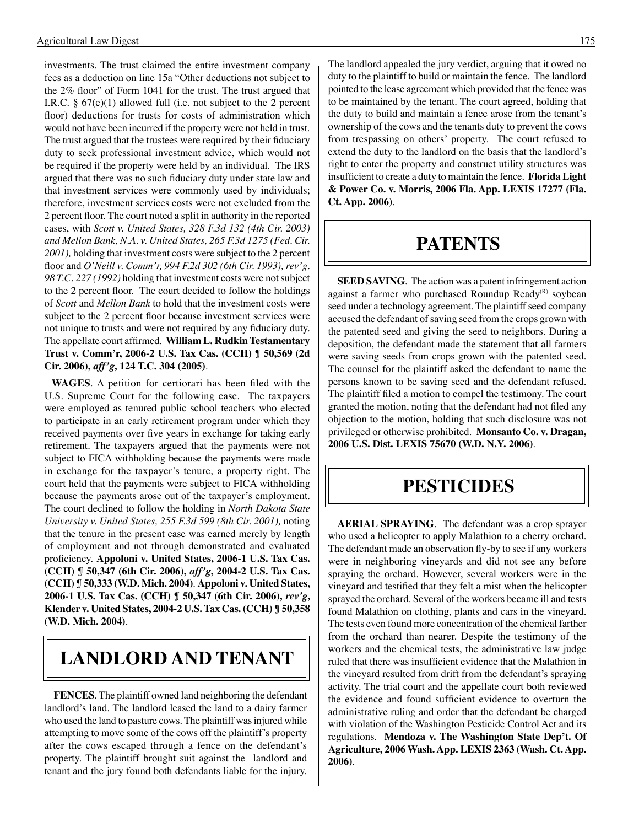investments. The trust claimed the entire investment company fees as a deduction on line 15a "Other deductions not subject to the 2% floor" of Form 1041 for the trust. The trust argued that I.R.C. § 67(e)(1) allowed full (i.e. not subject to the 2 percent floor) deductions for trusts for costs of administration which would not have been incurred if the property were not held in trust. The trust argued that the trustees were required by their fiduciary duty to seek professional investment advice, which would not be required if the property were held by an individual. The IRS argued that there was no such fiduciary duty under state law and that investment services were commonly used by individuals; therefore, investment services costs were not excluded from the 2 percent floor. The court noted a split in authority in the reported cases, with *Scott v. United States, 328 F.3d 132 (4th Cir. 2003) and Mellon Bank, N.A. v. United States, 265 F.3d 1275 (Fed. Cir. 2001),* holding that investment costs were subject to the 2 percent floor and *O'Neill v. Comm'r, 994 F.2d 302 (6th Cir. 1993), rev'g. 98 T.C. 227 (1992)* holding that investment costs were not subject to the 2 percent floor. The court decided to follow the holdings of *Scott* and *Mellon Bank* to hold that the investment costs were subject to the 2 percent floor because investment services were not unique to trusts and were not required by any fiduciary duty. The appellate court affirmed. **William L. Rudkin Testamentary Trust v. Comm'r, 2006-2 U.S. Tax Cas. (CCH) ¶ 50,569 (2d Cir. 2006),** *aff'g***, 124 T.C. 304 (2005)**.

**WAGES**. A petition for certiorari has been filed with the U.S. Supreme Court for the following case. The taxpayers were employed as tenured public school teachers who elected to participate in an early retirement program under which they received payments over five years in exchange for taking early retirement. The taxpayers argued that the payments were not subject to FICA withholding because the payments were made in exchange for the taxpayer's tenure, a property right. The court held that the payments were subject to FICA withholding because the payments arose out of the taxpayer's employment. The court declined to follow the holding in *North Dakota State University v. United States, 255 F.3d 599 (8th Cir. 2001),* noting that the tenure in the present case was earned merely by length of employment and not through demonstrated and evaluated proficiency. **Appoloni v. United States, 2006-1 U.S. Tax Cas. (CCH) ¶ 50,347 (6th Cir. 2006),** *aff'g***, 2004-2 U.S. Tax Cas. (CCH) ¶ 50,333 (W.D. Mich. 2004)**. **Appoloni v. United States, 2006-1 U.S. Tax Cas. (CCH) ¶ 50,347 (6th Cir. 2006),** *rev'g***, Klender v. United States, 2004-2 U.S. Tax Cas. (CCH) ¶ 50,358 (W.D. Mich. 2004)**.

### **LANDLORD AND TENANT**

**FENCES**. The plaintiff owned land neighboring the defendant landlord's land. The landlord leased the land to a dairy farmer who used the land to pasture cows. The plaintiff was injured while attempting to move some of the cows off the plaintiff's property after the cows escaped through a fence on the defendant's property. The plaintiff brought suit against the landlord and tenant and the jury found both defendants liable for the injury.

The landlord appealed the jury verdict, arguing that it owed no duty to the plaintiff to build or maintain the fence. The landlord pointed to the lease agreement which provided that the fence was to be maintained by the tenant. The court agreed, holding that the duty to build and maintain a fence arose from the tenant's ownership of the cows and the tenants duty to prevent the cows from trespassing on others' property. The court refused to extend the duty to the landlord on the basis that the landlord's right to enter the property and construct utility structures was insufficient to create a duty to maintain the fence. **Florida Light & Power Co. v. Morris, 2006 Fla. App. LEXIS 17277 (Fla. Ct. App. 2006)**.

#### **PATENTS**

**SEED SAVING**. The action was a patent infringement action against a farmer who purchased Roundup Ready $(P)$  soybean seed under a technology agreement. The plaintiff seed company accused the defendant of saving seed from the crops grown with the patented seed and giving the seed to neighbors. During a deposition, the defendant made the statement that all farmers were saving seeds from crops grown with the patented seed. The counsel for the plaintiff asked the defendant to name the persons known to be saving seed and the defendant refused. The plaintiff filed a motion to compel the testimony. The court granted the motion, noting that the defendant had not filed any objection to the motion, holding that such disclosure was not privileged or otherwise prohibited. **Monsanto Co. v. Dragan, 2006 U.S. Dist. LEXIS 75670 (W.D. N.Y. 2006)**.

### **Pesticides**

**AERIAL SPRAYING**. The defendant was a crop sprayer who used a helicopter to apply Malathion to a cherry orchard. The defendant made an observation fly-by to see if any workers were in neighboring vineyards and did not see any before spraying the orchard. However, several workers were in the vineyard and testified that they felt a mist when the helicopter sprayed the orchard. Several of the workers became ill and tests found Malathion on clothing, plants and cars in the vineyard. The tests even found more concentration of the chemical farther from the orchard than nearer. Despite the testimony of the workers and the chemical tests, the administrative law judge ruled that there was insufficient evidence that the Malathion in the vineyard resulted from drift from the defendant's spraying activity. The trial court and the appellate court both reviewed the evidence and found sufficient evidence to overturn the administrative ruling and order that the defendant be charged with violation of the Washington Pesticide Control Act and its regulations. **Mendoza v. The Washington State Dep't. Of Agriculture, 2006 Wash. App. LEXIS 2363 (Wash. Ct. App. 2006)**.